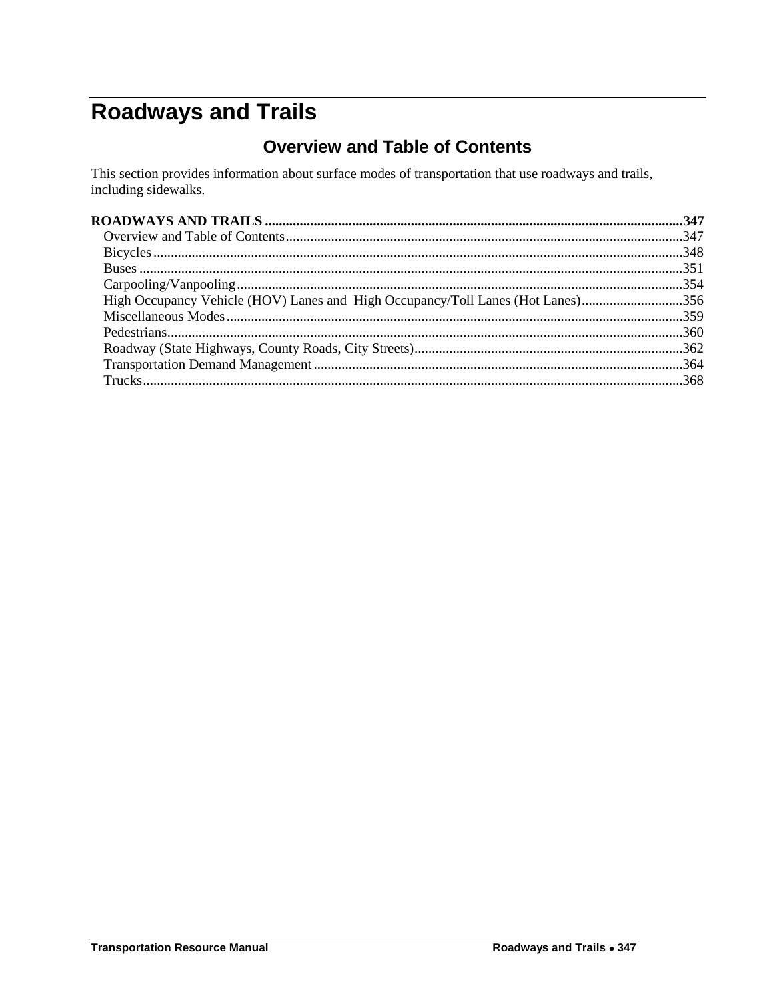# <span id="page-0-1"></span><span id="page-0-0"></span>**Roadways and Trails**

# **Overview and Table of Contents**

This section provides information about surface modes of transportation that use roadways and trails, including sidewalks.

| High Occupancy Vehicle (HOV) Lanes and High Occupancy/Toll Lanes (Hot Lanes)356 |  |
|---------------------------------------------------------------------------------|--|
|                                                                                 |  |
|                                                                                 |  |
|                                                                                 |  |
|                                                                                 |  |
|                                                                                 |  |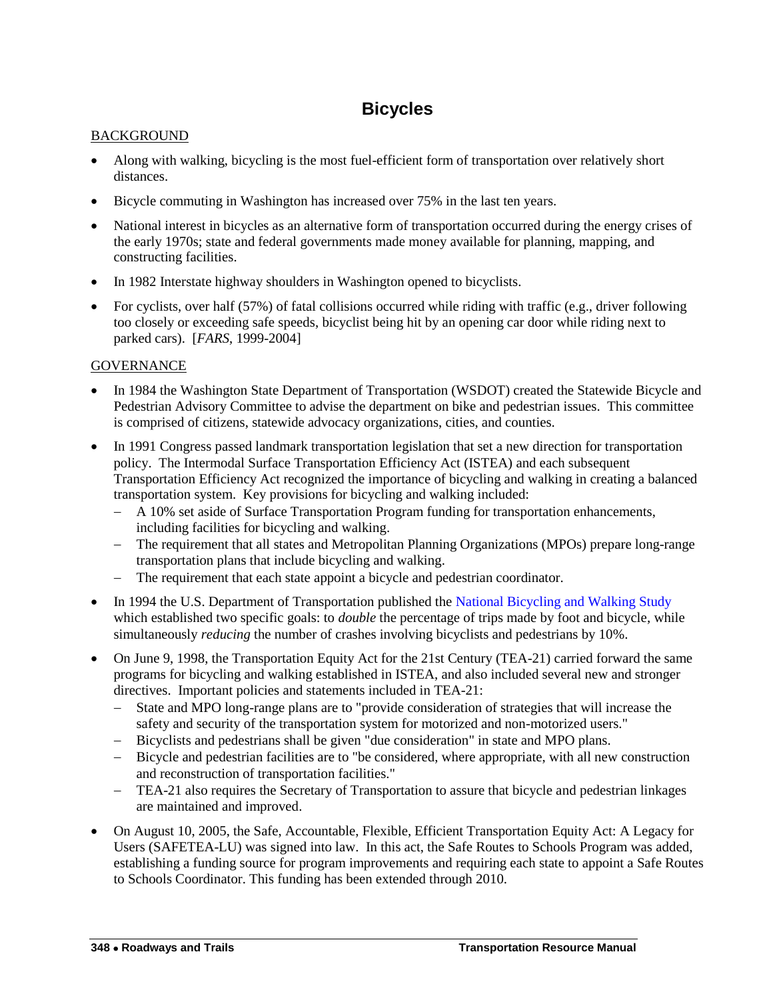# **Bicycles**

### <span id="page-1-0"></span>**BACKGROUND**

- Along with walking, bicycling is the most fuel-efficient form of transportation over relatively short distances.
- Bicycle commuting in Washington has increased over 75% in the last ten years.
- National interest in bicycles as an alternative form of transportation occurred during the energy crises of the early 1970s; state and federal governments made money available for planning, mapping, and constructing facilities.
- In 1982 Interstate highway shoulders in Washington opened to bicyclists.
- For cyclists, over half (57%) of fatal collisions occurred while riding with traffic (e.g., driver following too closely or exceeding safe speeds, bicyclist being hit by an opening car door while riding next to parked cars). [*FARS*, 1999-2004]

- In 1984 the Washington State Department of Transportation (WSDOT) created the Statewide Bicycle and Pedestrian Advisory Committee to advise the department on bike and pedestrian issues. This committee is comprised of citizens, statewide advocacy organizations, cities, and counties.
- In 1991 Congress passed landmark transportation legislation that set a new direction for transportation policy. The Intermodal Surface Transportation Efficiency Act (ISTEA) and each subsequent Transportation Efficiency Act recognized the importance of bicycling and walking in creating a balanced transportation system. Key provisions for bicycling and walking included:
	- A 10% set aside of Surface Transportation Program funding for transportation enhancements, including facilities for bicycling and walking.
	- The requirement that all states and Metropolitan Planning Organizations (MPOs) prepare long-range transportation plans that include bicycling and walking.
	- The requirement that each state appoint a bicycle and pedestrian coordinator.
- In 1994 the U.S. Department of Transportation published the National Bicycling and Walking Study which established two specific goals: to *double* the percentage of trips made by foot and bicycle, while simultaneously *reducing* the number of crashes involving bicyclists and pedestrians by 10%.
- On June 9, 1998, the Transportation Equity Act for the 21st Century (TEA-21) carried forward the same programs for bicycling and walking established in ISTEA, and also included several new and stronger directives. Important policies and statements included in TEA-21:
	- State and MPO long-range plans are to "provide consideration of strategies that will increase the safety and security of the transportation system for motorized and non-motorized users."
	- Bicyclists and pedestrians shall be given "due consideration" in state and MPO plans.
	- Bicycle and pedestrian facilities are to "be considered, where appropriate, with all new construction and reconstruction of transportation facilities."
	- TEA-21 also requires the Secretary of Transportation to assure that bicycle and pedestrian linkages are maintained and improved.
- On August 10, 2005, the Safe, Accountable, Flexible, Efficient Transportation Equity Act: A Legacy for Users (SAFETEA-LU) was signed into law. In this act, the Safe Routes to Schools Program was added, establishing a funding source for program improvements and requiring each state to appoint a Safe Routes to Schools Coordinator. This funding has been extended through 2010.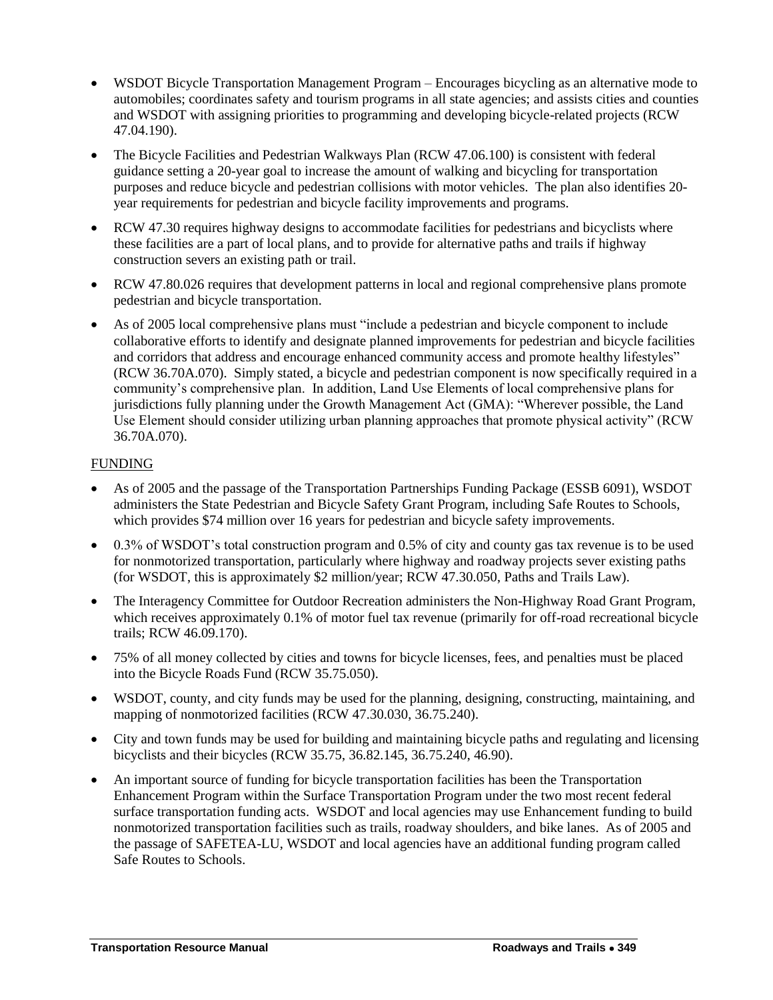- WSDOT Bicycle Transportation Management Program Encourages bicycling as an alternative mode to automobiles; coordinates safety and tourism programs in all state agencies; and assists cities and counties and WSDOT with assigning priorities to programming and developing bicycle-related projects (RCW 47.04.190).
- The Bicycle Facilities and Pedestrian Walkways Plan (RCW 47.06.100) is consistent with federal guidance setting a 20-year goal to increase the amount of walking and bicycling for transportation purposes and reduce bicycle and pedestrian collisions with motor vehicles. The plan also identifies 20 year requirements for pedestrian and bicycle facility improvements and programs.
- RCW 47.30 requires highway designs to accommodate facilities for pedestrians and bicyclists where these facilities are a part of local plans, and to provide for alternative paths and trails if highway construction severs an existing path or trail.
- RCW 47.80.026 requires that development patterns in local and regional comprehensive plans promote pedestrian and bicycle transportation.
- As of 2005 local comprehensive plans must "include a pedestrian and bicycle component to include collaborative efforts to identify and designate planned improvements for pedestrian and bicycle facilities and corridors that address and encourage enhanced community access and promote healthy lifestyles" (RCW 36.70A.070). Simply stated, a bicycle and pedestrian component is now specifically required in a community"s comprehensive plan. In addition, Land Use Elements of local comprehensive plans for jurisdictions fully planning under the Growth Management Act (GMA): "Wherever possible, the Land Use Element should consider utilizing urban planning approaches that promote physical activity" (RCW 36.70A.070).

- As of 2005 and the passage of the Transportation Partnerships Funding Package (ESSB 6091), WSDOT administers the State Pedestrian and Bicycle Safety Grant Program, including Safe Routes to Schools, which provides \$74 million over 16 years for pedestrian and bicycle safety improvements.
- 0.3% of WSDOT"s total construction program and 0.5% of city and county gas tax revenue is to be used for nonmotorized transportation, particularly where highway and roadway projects sever existing paths (for WSDOT, this is approximately \$2 million/year; RCW 47.30.050, Paths and Trails Law).
- The Interagency Committee for Outdoor Recreation administers the Non-Highway Road Grant Program, which receives approximately 0.1% of motor fuel tax revenue (primarily for off-road recreational bicycle trails; RCW 46.09.170).
- 75% of all money collected by cities and towns for bicycle licenses, fees, and penalties must be placed into the Bicycle Roads Fund (RCW 35.75.050).
- WSDOT, county, and city funds may be used for the planning, designing, constructing, maintaining, and mapping of nonmotorized facilities (RCW 47.30.030, 36.75.240).
- City and town funds may be used for building and maintaining bicycle paths and regulating and licensing bicyclists and their bicycles (RCW 35.75, 36.82.145, 36.75.240, 46.90).
- An important source of funding for bicycle transportation facilities has been the Transportation Enhancement Program within the Surface Transportation Program under the two most recent federal surface transportation funding acts. WSDOT and local agencies may use Enhancement funding to build nonmotorized transportation facilities such as trails, roadway shoulders, and bike lanes. As of 2005 and the passage of SAFETEA-LU, WSDOT and local agencies have an additional funding program called Safe Routes to Schools.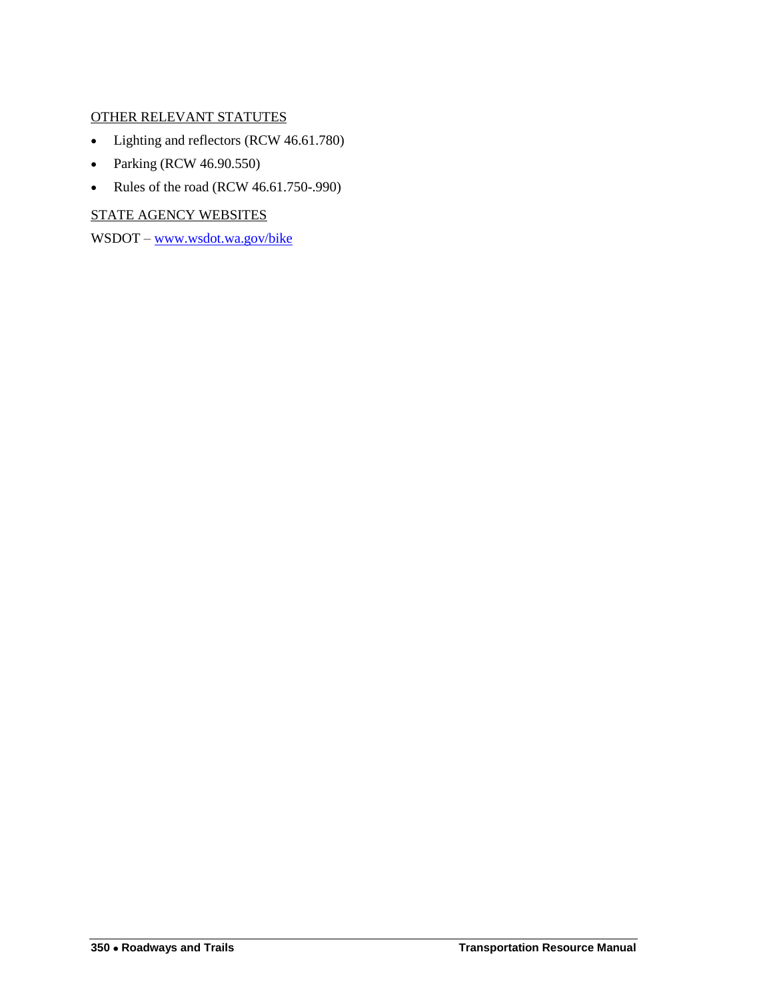### OTHER RELEVANT STATUTES

- Lighting and reflectors (RCW 46.61.780)
- Parking (RCW 46.90.550)
- Rules of the road (RCW 46.61.750-.990)

STATE AGENCY WEBSITES

WSDOT – [www.wsdot.wa.gov/bike](http://www.wsdot.wa.gov/bike)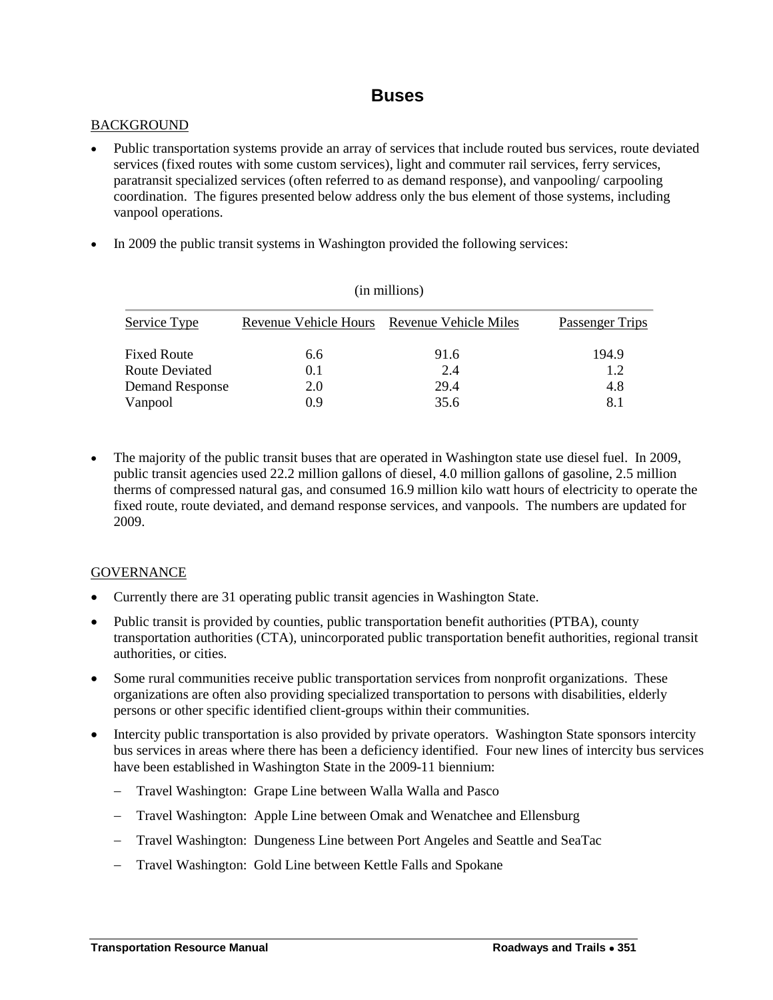### **Buses**

#### <span id="page-4-0"></span>**BACKGROUND**

- Public transportation systems provide an array of services that include routed bus services, route deviated services (fixed routes with some custom services), light and commuter rail services, ferry services, paratransit specialized services (often referred to as demand response), and vanpooling/ carpooling coordination. The figures presented below address only the bus element of those systems, including vanpool operations.
- In 2009 the public transit systems in Washington provided the following services:

| (in millions)      |                       |                       |                 |  |  |
|--------------------|-----------------------|-----------------------|-----------------|--|--|
| Service Type       | Revenue Vehicle Hours | Revenue Vehicle Miles | Passenger Trips |  |  |
| <b>Fixed Route</b> | 6.6                   | 91.6                  | 194.9           |  |  |
| Route Deviated     | 0.1                   | 2.4                   | 1.2             |  |  |
| Demand Response    | 2.0                   | 29.4                  | 4.8             |  |  |
| Vanpool            | 0.9                   | 35.6                  | 8.1             |  |  |

 The majority of the public transit buses that are operated in Washington state use diesel fuel. In 2009, public transit agencies used 22.2 million gallons of diesel, 4.0 million gallons of gasoline, 2.5 million therms of compressed natural gas, and consumed 16.9 million kilo watt hours of electricity to operate the fixed route, route deviated, and demand response services, and vanpools. The numbers are updated for 2009.

- Currently there are 31 operating public transit agencies in Washington State.
- Public transit is provided by counties, public transportation benefit authorities (PTBA), county transportation authorities (CTA), unincorporated public transportation benefit authorities, regional transit authorities, or cities.
- Some rural communities receive public transportation services from nonprofit organizations. These organizations are often also providing specialized transportation to persons with disabilities, elderly persons or other specific identified client-groups within their communities.
- Intercity public transportation is also provided by private operators. Washington State sponsors intercity bus services in areas where there has been a deficiency identified. Four new lines of intercity bus services have been established in Washington State in the 2009-11 biennium:
	- Travel Washington: Grape Line between Walla Walla and Pasco
	- Travel Washington: Apple Line between Omak and Wenatchee and Ellensburg
	- Travel Washington: Dungeness Line between Port Angeles and Seattle and SeaTac
	- Travel Washington: Gold Line between Kettle Falls and Spokane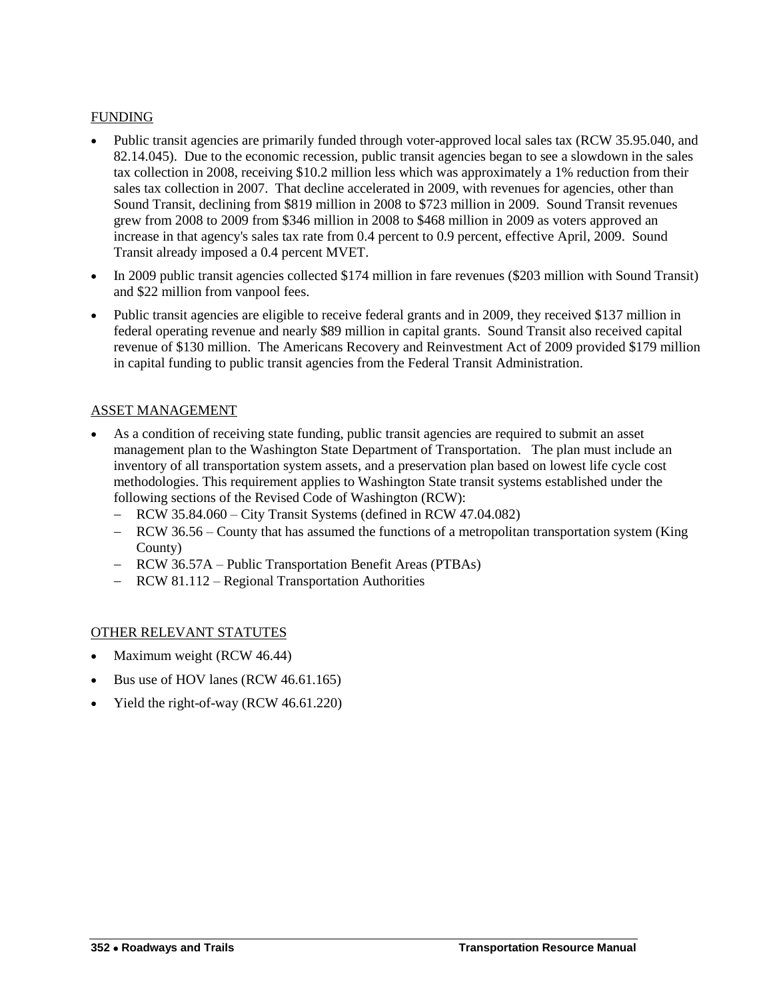- Public transit agencies are primarily funded through voter-approved local sales tax (RCW 35.95.040, and 82.14.045). Due to the economic recession, public transit agencies began to see a slowdown in the sales tax collection in 2008, receiving \$10.2 million less which was approximately a 1% reduction from their sales tax collection in 2007. That decline accelerated in 2009, with revenues for agencies, other than Sound Transit, declining from \$819 million in 2008 to \$723 million in 2009. Sound Transit revenues grew from 2008 to 2009 from \$346 million in 2008 to \$468 million in 2009 as voters approved an increase in that agency's sales tax rate from 0.4 percent to 0.9 percent, effective April, 2009. Sound Transit already imposed a 0.4 percent MVET.
- In 2009 public transit agencies collected \$174 million in fare revenues (\$203 million with Sound Transit) and \$22 million from vanpool fees.
- Public transit agencies are eligible to receive federal grants and in 2009, they received \$137 million in federal operating revenue and nearly \$89 million in capital grants. Sound Transit also received capital revenue of \$130 million. The Americans Recovery and Reinvestment Act of 2009 provided \$179 million in capital funding to public transit agencies from the Federal Transit Administration.

#### ASSET MANAGEMENT

- As a condition of receiving state funding, public transit agencies are required to submit an asset management plan to the Washington State Department of Transportation. The plan must include an inventory of all transportation system assets, and a preservation plan based on lowest life cycle cost methodologies. This requirement applies to Washington State transit systems established under the following sections of the Revised Code of Washington (RCW):
	- RCW 35.84.060 City Transit Systems (defined in RCW 47.04.082)
	- RCW 36.56 County that has assumed the functions of a metropolitan transportation system (King County)
	- RCW 36.57A Public Transportation Benefit Areas (PTBAs)
	- RCW 81.112 Regional Transportation Authorities

#### OTHER RELEVANT STATUTES

- Maximum weight (RCW 46.44)
- Bus use of HOV lanes (RCW 46.61.165)
- Yield the right-of-way (RCW 46.61.220)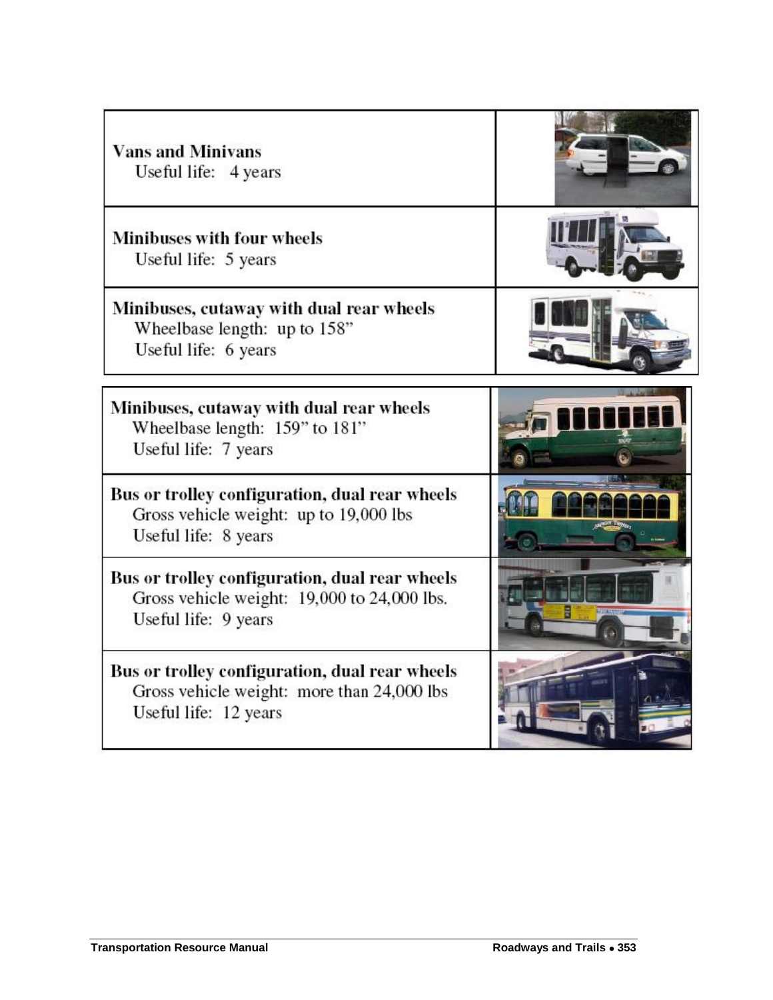| <b>Vans and Minivans</b><br>Useful life: 4 years                                                                      |  |
|-----------------------------------------------------------------------------------------------------------------------|--|
| <b>Minibuses with four wheels</b><br>Useful life: 5 years                                                             |  |
| Minibuses, cutaway with dual rear wheels<br>Wheelbase length: up to 158"<br>Useful life: 6 years                      |  |
| Minibuses, cutaway with dual rear wheels<br>Wheelbase length: 159" to 181"<br>Useful life: 7 years                    |  |
| Bus or trolley configuration, dual rear wheels<br>Gross vehicle weight: up to 19,000 lbs<br>Useful life: 8 years      |  |
| Bus or trolley configuration, dual rear wheels<br>Gross vehicle weight: 19,000 to 24,000 lbs.<br>Useful life: 9 years |  |
| Bus or trolley configuration, dual rear wheels<br>Gross vehicle weight: more than 24,000 lbs<br>Useful life: 12 years |  |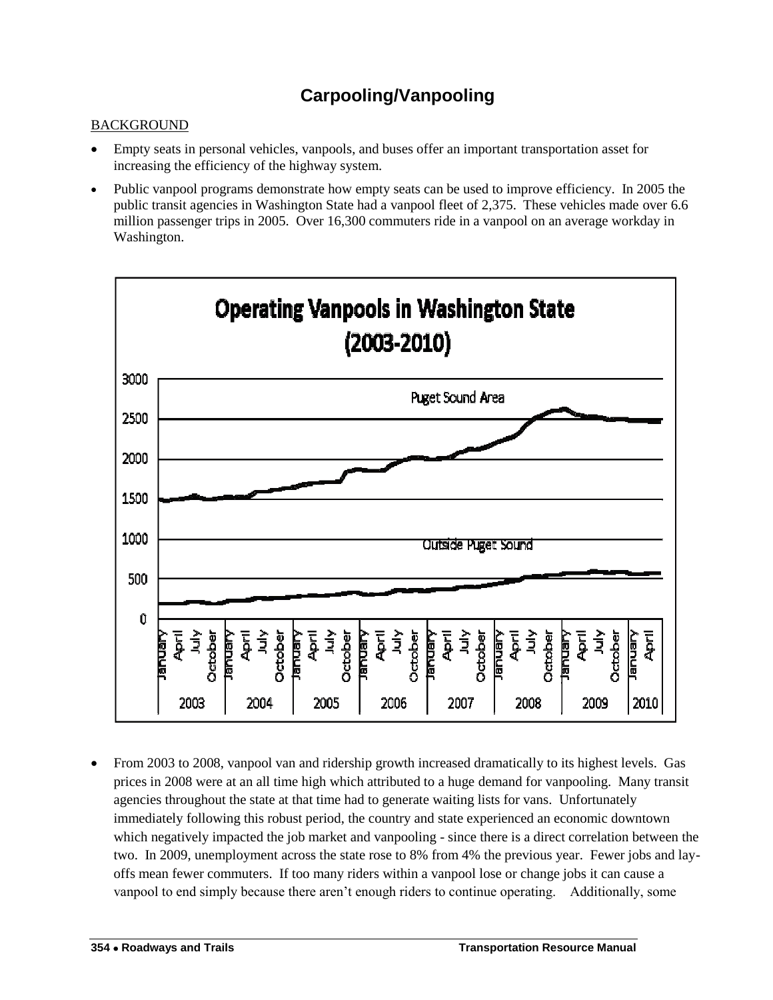# **Carpooling/Vanpooling**

### <span id="page-7-0"></span>**BACKGROUND**

- Empty seats in personal vehicles, vanpools, and buses offer an important transportation asset for increasing the efficiency of the highway system.
- Public vanpool programs demonstrate how empty seats can be used to improve efficiency. In 2005 the public transit agencies in Washington State had a vanpool fleet of 2,375. These vehicles made over 6.6 million passenger trips in 2005. Over 16,300 commuters ride in a vanpool on an average workday in Washington.



 From 2003 to 2008, vanpool van and ridership growth increased dramatically to its highest levels. Gas prices in 2008 were at an all time high which attributed to a huge demand for vanpooling. Many transit agencies throughout the state at that time had to generate waiting lists for vans. Unfortunately immediately following this robust period, the country and state experienced an economic downtown which negatively impacted the job market and vanpooling - since there is a direct correlation between the two. In 2009, unemployment across the state rose to 8% from 4% the previous year. Fewer jobs and layoffs mean fewer commuters. If too many riders within a vanpool lose or change jobs it can cause a vanpool to end simply because there aren"t enough riders to continue operating. Additionally, some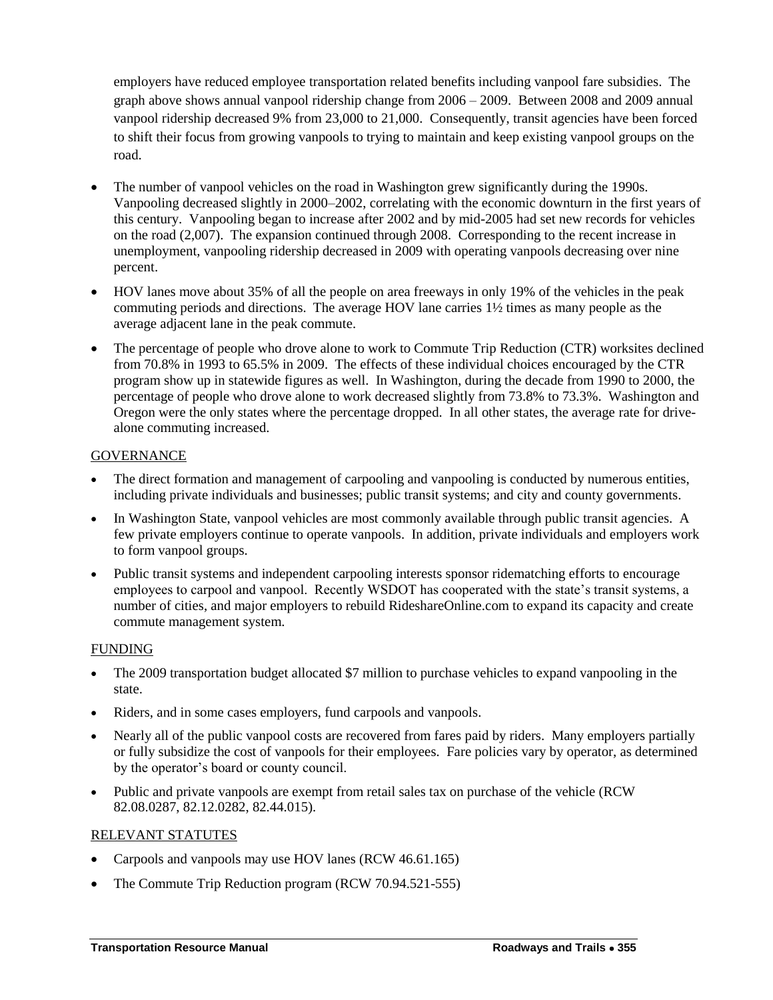employers have reduced employee transportation related benefits including vanpool fare subsidies. The graph above shows annual vanpool ridership change from 2006 – 2009. Between 2008 and 2009 annual vanpool ridership decreased 9% from 23,000 to 21,000. Consequently, transit agencies have been forced to shift their focus from growing vanpools to trying to maintain and keep existing vanpool groups on the road.

- The number of vanpool vehicles on the road in Washington grew significantly during the 1990s. Vanpooling decreased slightly in 2000–2002, correlating with the economic downturn in the first years of this century. Vanpooling began to increase after 2002 and by mid-2005 had set new records for vehicles on the road (2,007). The expansion continued through 2008. Corresponding to the recent increase in unemployment, vanpooling ridership decreased in 2009 with operating vanpools decreasing over nine percent.
- HOV lanes move about 35% of all the people on area freeways in only 19% of the vehicles in the peak commuting periods and directions. The average HOV lane carries 1½ times as many people as the average adjacent lane in the peak commute.
- The percentage of people who drove alone to work to Commute Trip Reduction (CTR) worksites declined from 70.8% in 1993 to 65.5% in 2009. The effects of these individual choices encouraged by the CTR program show up in statewide figures as well. In Washington, during the decade from 1990 to 2000, the percentage of people who drove alone to work decreased slightly from 73.8% to 73.3%. Washington and Oregon were the only states where the percentage dropped. In all other states, the average rate for drivealone commuting increased.

### **GOVERNANCE**

- The direct formation and management of carpooling and vanpooling is conducted by numerous entities, including private individuals and businesses; public transit systems; and city and county governments.
- In Washington State, vanpool vehicles are most commonly available through public transit agencies. A few private employers continue to operate vanpools. In addition, private individuals and employers work to form vanpool groups.
- Public transit systems and independent carpooling interests sponsor ridematching efforts to encourage employees to carpool and vanpool. Recently WSDOT has cooperated with the state's transit systems, a number of cities, and major employers to rebuild RideshareOnline.com to expand its capacity and create commute management system.

#### FUNDING

- The 2009 transportation budget allocated \$7 million to purchase vehicles to expand vanpooling in the state.
- Riders, and in some cases employers, fund carpools and vanpools.
- Nearly all of the public vanpool costs are recovered from fares paid by riders. Many employers partially or fully subsidize the cost of vanpools for their employees. Fare policies vary by operator, as determined by the operator"s board or county council.
- Public and private vanpools are exempt from retail sales tax on purchase of the vehicle (RCW 82.08.0287, 82.12.0282, 82.44.015).

#### RELEVANT STATUTES

- Carpools and vanpools may use HOV lanes (RCW 46.61.165)
- The Commute Trip Reduction program (RCW 70.94.521-555)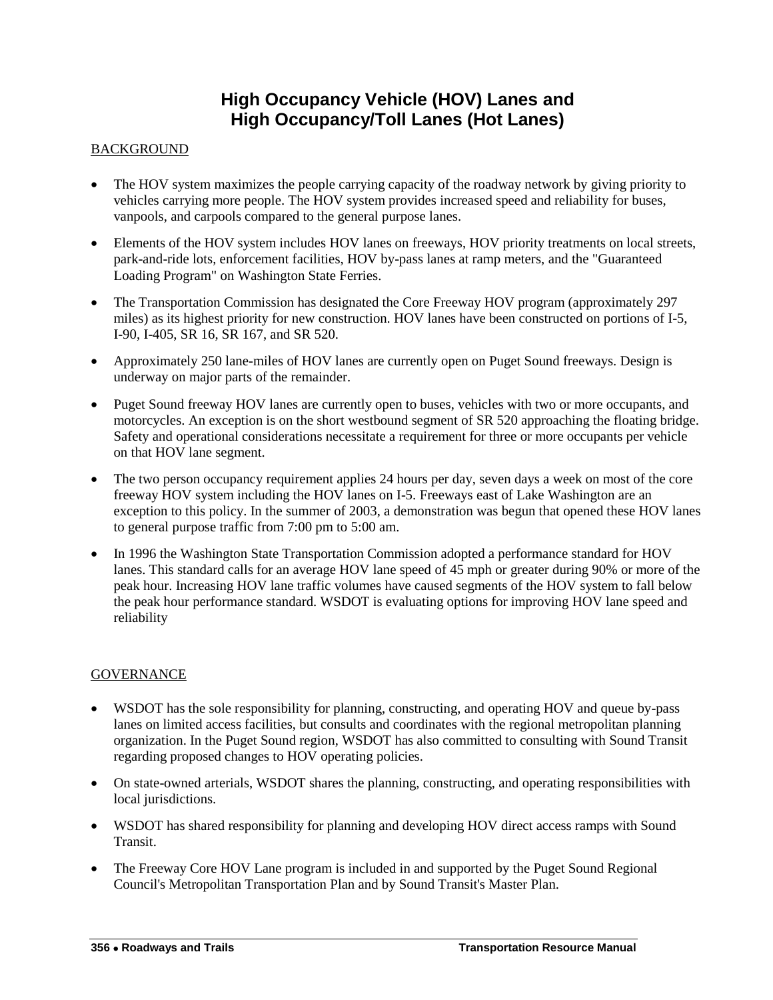## **High Occupancy Vehicle (HOV) Lanes and High Occupancy/Toll Lanes (Hot Lanes)**

#### <span id="page-9-0"></span>**BACKGROUND**

- The HOV system maximizes the people carrying capacity of the roadway network by giving priority to vehicles carrying more people. The HOV system provides increased speed and reliability for buses, vanpools, and carpools compared to the general purpose lanes.
- Elements of the HOV system includes HOV lanes on freeways, HOV priority treatments on local streets, park-and-ride lots, enforcement facilities, HOV by-pass lanes at ramp meters, and the "Guaranteed Loading Program" on Washington State Ferries.
- The Transportation Commission has designated the Core Freeway HOV program (approximately 297) miles) as its highest priority for new construction. HOV lanes have been constructed on portions of I-5, I-90, I-405, SR 16, SR 167, and SR 520.
- Approximately 250 lane-miles of HOV lanes are currently open on Puget Sound freeways. Design is underway on major parts of the remainder.
- Puget Sound freeway HOV lanes are currently open to buses, vehicles with two or more occupants, and motorcycles. An exception is on the short westbound segment of SR 520 approaching the floating bridge. Safety and operational considerations necessitate a requirement for three or more occupants per vehicle on that HOV lane segment.
- The two person occupancy requirement applies 24 hours per day, seven days a week on most of the core freeway HOV system including the HOV lanes on I-5. Freeways east of Lake Washington are an exception to this policy. In the summer of 2003, a demonstration was begun that opened these HOV lanes to general purpose traffic from 7:00 pm to 5:00 am.
- In 1996 the Washington State Transportation Commission adopted a performance standard for HOV lanes. This standard calls for an average HOV lane speed of 45 mph or greater during 90% or more of the peak hour. Increasing HOV lane traffic volumes have caused segments of the HOV system to fall below the peak hour performance standard. WSDOT is evaluating options for improving HOV lane speed and reliability

- WSDOT has the sole responsibility for planning, constructing, and operating HOV and queue by-pass lanes on limited access facilities, but consults and coordinates with the regional metropolitan planning organization. In the Puget Sound region, WSDOT has also committed to consulting with Sound Transit regarding proposed changes to HOV operating policies.
- On state-owned arterials, WSDOT shares the planning, constructing, and operating responsibilities with local jurisdictions.
- WSDOT has shared responsibility for planning and developing HOV direct access ramps with Sound Transit.
- The Freeway Core HOV Lane program is included in and supported by the Puget Sound Regional Council's Metropolitan Transportation Plan and by Sound Transit's Master Plan.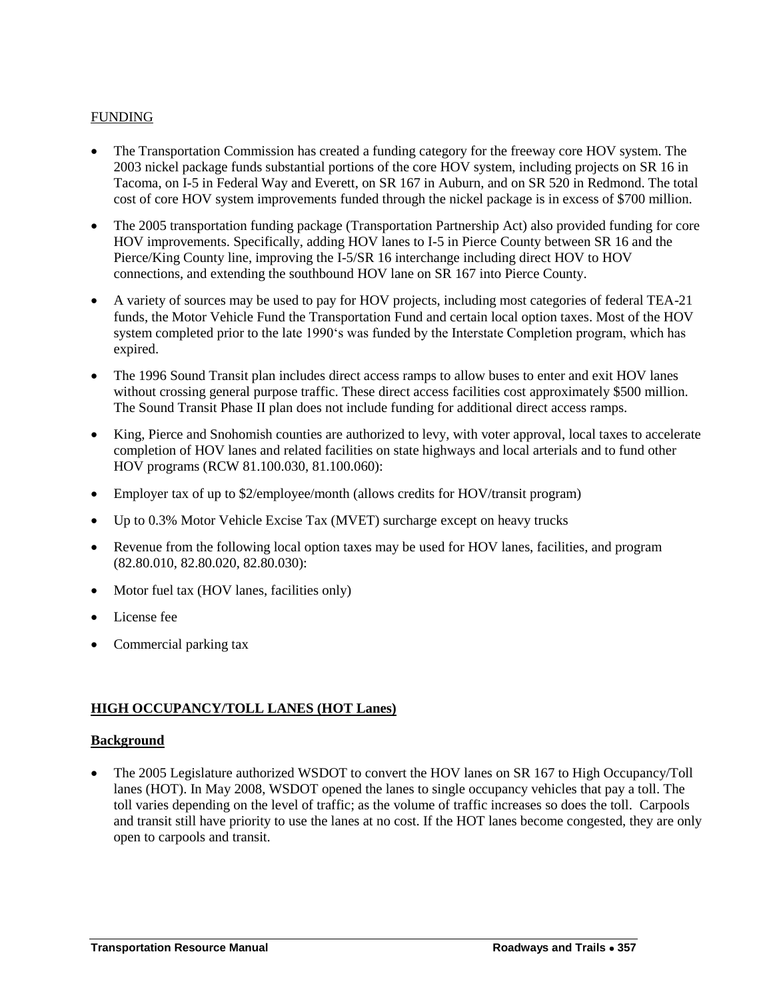- The Transportation Commission has created a funding category for the freeway core HOV system. The 2003 nickel package funds substantial portions of the core HOV system, including projects on SR 16 in Tacoma, on I-5 in Federal Way and Everett, on SR 167 in Auburn, and on SR 520 in Redmond. The total cost of core HOV system improvements funded through the nickel package is in excess of \$700 million.
- The 2005 transportation funding package (Transportation Partnership Act) also provided funding for core HOV improvements. Specifically, adding HOV lanes to I-5 in Pierce County between SR 16 and the Pierce/King County line, improving the I-5/SR 16 interchange including direct HOV to HOV connections, and extending the southbound HOV lane on SR 167 into Pierce County.
- A variety of sources may be used to pay for HOV projects, including most categories of federal TEA-21 funds, the Motor Vehicle Fund the Transportation Fund and certain local option taxes. Most of the HOV system completed prior to the late 1990's was funded by the Interstate Completion program, which has expired.
- The 1996 Sound Transit plan includes direct access ramps to allow buses to enter and exit HOV lanes without crossing general purpose traffic. These direct access facilities cost approximately \$500 million. The Sound Transit Phase II plan does not include funding for additional direct access ramps.
- King, Pierce and Snohomish counties are authorized to levy, with voter approval, local taxes to accelerate completion of HOV lanes and related facilities on state highways and local arterials and to fund other HOV programs (RCW 81.100.030, 81.100.060):
- Employer tax of up to \$2/employee/month (allows credits for HOV/transit program)
- Up to 0.3% Motor Vehicle Excise Tax (MVET) surcharge except on heavy trucks
- Revenue from the following local option taxes may be used for HOV lanes, facilities, and program (82.80.010, 82.80.020, 82.80.030):
- Motor fuel tax (HOV lanes, facilities only)
- License fee
- Commercial parking tax

#### **HIGH OCCUPANCY/TOLL LANES (HOT Lanes)**

#### **Background**

 The 2005 Legislature authorized WSDOT to convert the HOV lanes on SR 167 to High Occupancy/Toll lanes (HOT). In May 2008, WSDOT opened the lanes to single occupancy vehicles that pay a toll. The toll varies depending on the level of traffic; as the volume of traffic increases so does the toll. Carpools and transit still have priority to use the lanes at no cost. If the HOT lanes become congested, they are only open to carpools and transit.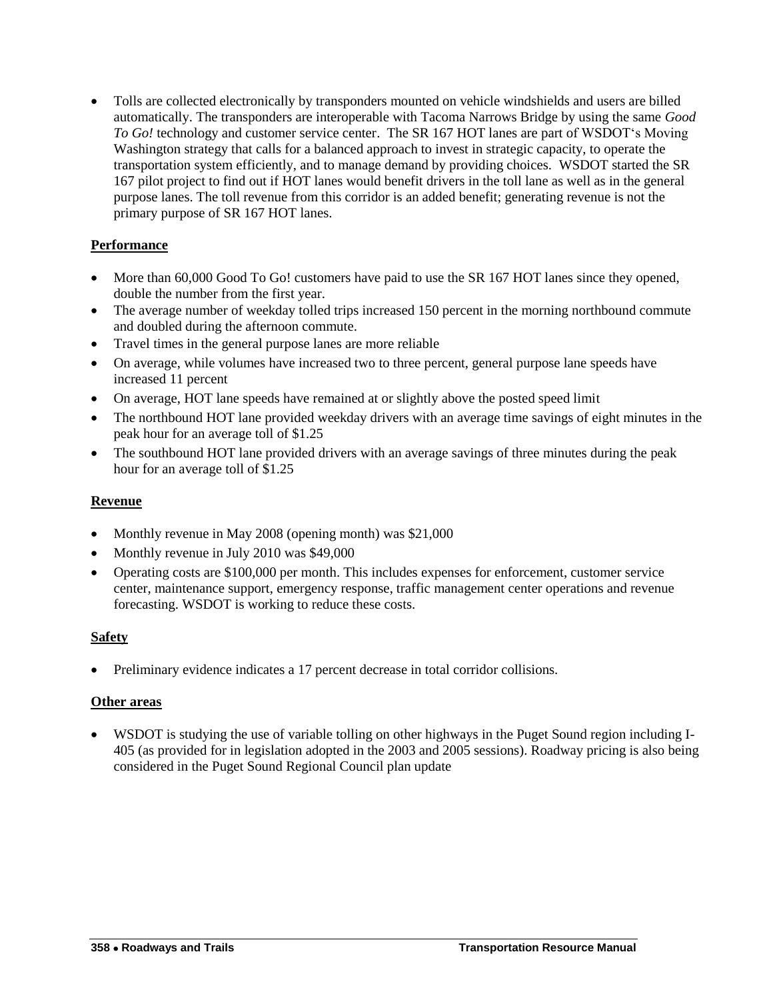Tolls are collected electronically by transponders mounted on vehicle windshields and users are billed automatically. The transponders are interoperable with Tacoma Narrows Bridge by using the same *Good To Go!* technology and customer service center. The SR 167 HOT lanes are part of WSDOT"s Moving Washington strategy that calls for a balanced approach to invest in strategic capacity, to operate the transportation system efficiently, and to manage demand by providing choices. WSDOT started the SR 167 pilot project to find out if HOT lanes would benefit drivers in the toll lane as well as in the general purpose lanes. The toll revenue from this corridor is an added benefit; generating revenue is not the primary purpose of SR 167 HOT lanes.

### **Performance**

- More than 60,000 Good To Go! customers have paid to use the SR 167 HOT lanes since they opened, double the number from the first year.
- The average number of weekday tolled trips increased 150 percent in the morning northbound commute and doubled during the afternoon commute.
- Travel times in the general purpose lanes are more reliable
- On average, while volumes have increased two to three percent, general purpose lane speeds have increased 11 percent
- On average, HOT lane speeds have remained at or slightly above the posted speed limit
- The northbound HOT lane provided weekday drivers with an average time savings of eight minutes in the peak hour for an average toll of \$1.25
- The southbound HOT lane provided drivers with an average savings of three minutes during the peak hour for an average toll of \$1.25

#### **Revenue**

- Monthly revenue in May 2008 (opening month) was \$21,000
- Monthly revenue in July 2010 was \$49,000
- Operating costs are \$100,000 per month. This includes expenses for enforcement, customer service center, maintenance support, emergency response, traffic management center operations and revenue forecasting. WSDOT is working to reduce these costs.

#### **Safety**

Preliminary evidence indicates a 17 percent decrease in total corridor collisions.

#### **Other areas**

 WSDOT is studying the use of variable tolling on other highways in the Puget Sound region including I-405 (as provided for in legislation adopted in the 2003 and 2005 sessions). Roadway pricing is also being considered in the Puget Sound Regional Council plan update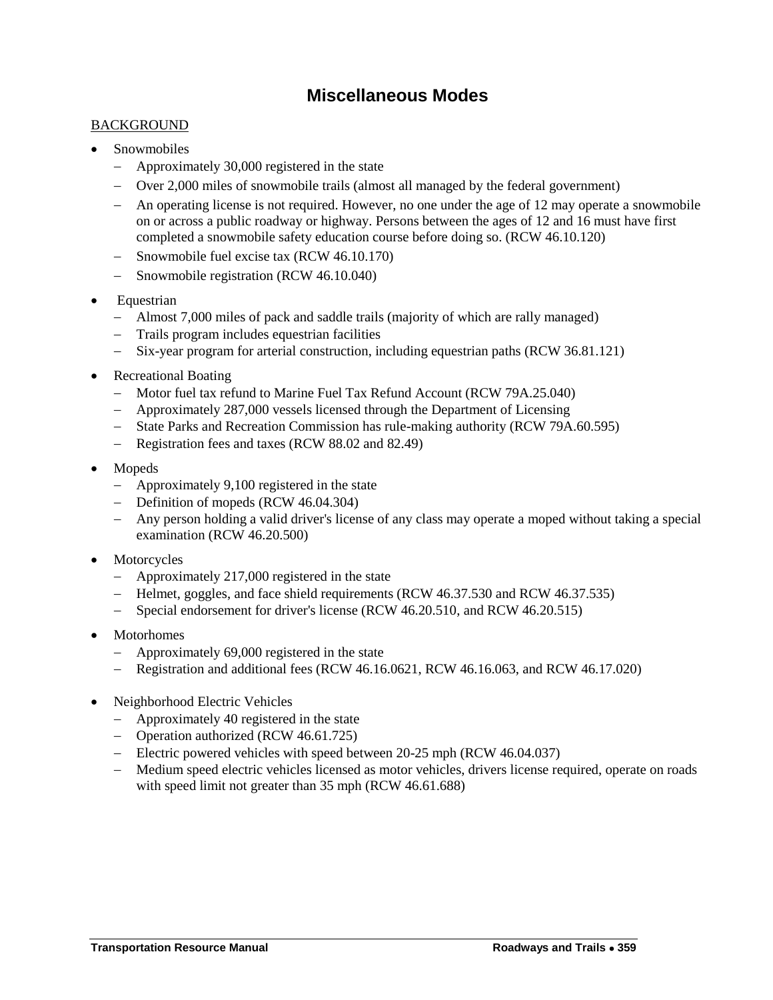### **Miscellaneous Modes**

#### <span id="page-12-0"></span>**BACKGROUND**

- Snowmobiles
	- Approximately 30,000 registered in the state
	- Over 2,000 miles of snowmobile trails (almost all managed by the federal government)
	- An operating license is not required. However, no one under the age of 12 may operate a snowmobile on or across a public roadway or highway. Persons between the ages of 12 and 16 must have first completed a snowmobile safety education course before doing so. (RCW 46.10.120)
	- Snowmobile fuel excise tax (RCW 46.10.170)
	- Snowmobile registration (RCW 46.10.040)
- Equestrian
	- Almost 7,000 miles of pack and saddle trails (majority of which are rally managed)
	- Trails program includes equestrian facilities
	- Six-year program for arterial construction, including equestrian paths (RCW 36.81.121)
- Recreational Boating
	- Motor fuel tax refund to Marine Fuel Tax Refund Account (RCW 79A.25.040)
	- Approximately 287,000 vessels licensed through the Department of Licensing
	- State Parks and Recreation Commission has rule-making authority (RCW 79A.60.595)
	- Registration fees and taxes (RCW 88.02 and 82.49)
- Mopeds
	- Approximately 9,100 registered in the state
	- Definition of mopeds (RCW 46.04.304)
	- Any person holding a valid driver's license of any class may operate a moped without taking a special examination (RCW 46.20.500)
- Motorcycles
	- Approximately 217,000 registered in the state
	- Helmet, goggles, and face shield requirements (RCW 46.37.530 and RCW 46.37.535)
	- Special endorsement for driver's license (RCW 46.20.510, and RCW 46.20.515)
- Motorhomes
	- Approximately 69,000 registered in the state
	- Registration and additional fees (RCW 46.16.0621, RCW 46.16.063, and RCW 46.17.020)
- Neighborhood Electric Vehicles
	- Approximately 40 registered in the state
	- Operation authorized (RCW 46.61.725)
	- Electric powered vehicles with speed between 20-25 mph (RCW 46.04.037)
	- Medium speed electric vehicles licensed as motor vehicles, drivers license required, operate on roads with speed limit not greater than 35 mph (RCW 46.61.688)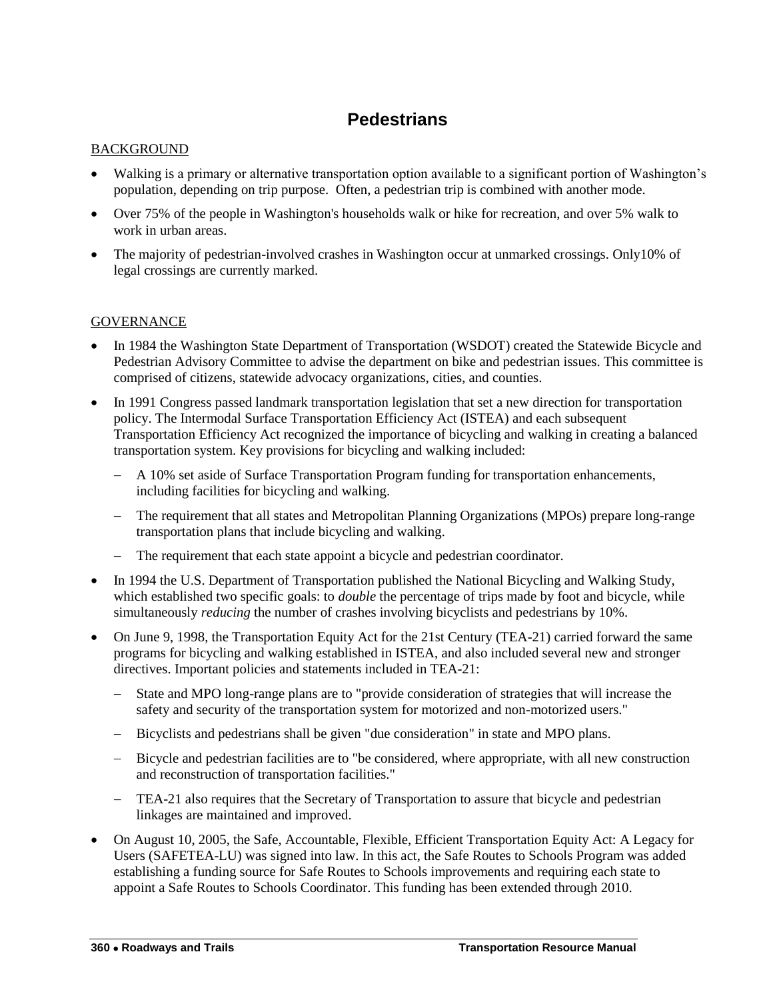# **Pedestrians**

#### <span id="page-13-0"></span>**BACKGROUND**

- Walking is a primary or alternative transportation option available to a significant portion of Washington's population, depending on trip purpose. Often, a pedestrian trip is combined with another mode.
- Over 75% of the people in Washington's households walk or hike for recreation, and over 5% walk to work in urban areas.
- The majority of pedestrian-involved crashes in Washington occur at unmarked crossings. Only10% of legal crossings are currently marked.

- In 1984 the Washington State Department of Transportation (WSDOT) created the Statewide Bicycle and Pedestrian Advisory Committee to advise the department on bike and pedestrian issues. This committee is comprised of citizens, statewide advocacy organizations, cities, and counties.
- In 1991 Congress passed landmark transportation legislation that set a new direction for transportation policy. The Intermodal Surface Transportation Efficiency Act (ISTEA) and each subsequent Transportation Efficiency Act recognized the importance of bicycling and walking in creating a balanced transportation system. Key provisions for bicycling and walking included:
	- A 10% set aside of Surface Transportation Program funding for transportation enhancements, including facilities for bicycling and walking.
	- The requirement that all states and Metropolitan Planning Organizations (MPOs) prepare long-range transportation plans that include bicycling and walking.
	- The requirement that each state appoint a bicycle and pedestrian coordinator.
- In 1994 the U.S. Department of Transportation published the National Bicycling and Walking Study, which established two specific goals: to *double* the percentage of trips made by foot and bicycle, while simultaneously *reducing* the number of crashes involving bicyclists and pedestrians by 10%.
- On June 9, 1998, the Transportation Equity Act for the 21st Century (TEA-21) carried forward the same programs for bicycling and walking established in ISTEA, and also included several new and stronger directives. Important policies and statements included in TEA-21:
	- State and MPO long-range plans are to "provide consideration of strategies that will increase the safety and security of the transportation system for motorized and non-motorized users."
	- Bicyclists and pedestrians shall be given "due consideration" in state and MPO plans.
	- Bicycle and pedestrian facilities are to "be considered, where appropriate, with all new construction and reconstruction of transportation facilities."
	- TEA-21 also requires that the Secretary of Transportation to assure that bicycle and pedestrian linkages are maintained and improved.
- On August 10, 2005, the Safe, Accountable, Flexible, Efficient Transportation Equity Act: A Legacy for Users (SAFETEA-LU) was signed into law. In this act, the Safe Routes to Schools Program was added establishing a funding source for Safe Routes to Schools improvements and requiring each state to appoint a Safe Routes to Schools Coordinator. This funding has been extended through 2010.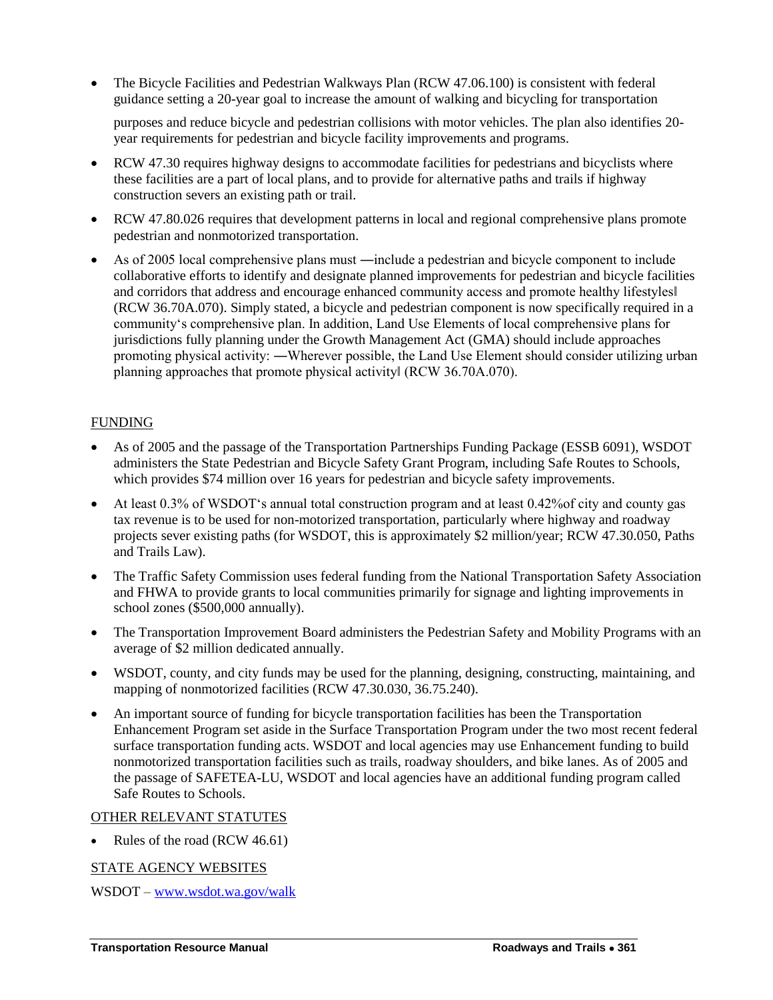The Bicycle Facilities and Pedestrian Walkways Plan (RCW 47.06.100) is consistent with federal guidance setting a 20-year goal to increase the amount of walking and bicycling for transportation

purposes and reduce bicycle and pedestrian collisions with motor vehicles. The plan also identifies 20 year requirements for pedestrian and bicycle facility improvements and programs.

- RCW 47.30 requires highway designs to accommodate facilities for pedestrians and bicyclists where these facilities are a part of local plans, and to provide for alternative paths and trails if highway construction severs an existing path or trail.
- RCW 47.80.026 requires that development patterns in local and regional comprehensive plans promote pedestrian and nonmotorized transportation.
- As of 2005 local comprehensive plans must ―include a pedestrian and bicycle component to include collaborative efforts to identify and designate planned improvements for pedestrian and bicycle facilities and corridors that address and encourage enhanced community access and promote healthy lifestyles‖ (RCW 36.70A.070). Simply stated, a bicycle and pedestrian component is now specifically required in a community"s comprehensive plan. In addition, Land Use Elements of local comprehensive plans for jurisdictions fully planning under the Growth Management Act (GMA) should include approaches promoting physical activity: ―Wherever possible, the Land Use Element should consider utilizing urban planning approaches that promote physical activity‖ (RCW 36.70A.070).

#### FUNDING

- As of 2005 and the passage of the Transportation Partnerships Funding Package (ESSB 6091), WSDOT administers the State Pedestrian and Bicycle Safety Grant Program, including Safe Routes to Schools, which provides \$74 million over 16 years for pedestrian and bicycle safety improvements.
- At least 0.3% of WSDOT"s annual total construction program and at least 0.42%of city and county gas tax revenue is to be used for non-motorized transportation, particularly where highway and roadway projects sever existing paths (for WSDOT, this is approximately \$2 million/year; RCW 47.30.050, Paths and Trails Law).
- The Traffic Safety Commission uses federal funding from the National Transportation Safety Association and FHWA to provide grants to local communities primarily for signage and lighting improvements in school zones (\$500,000 annually).
- The Transportation Improvement Board administers the Pedestrian Safety and Mobility Programs with an average of \$2 million dedicated annually.
- WSDOT, county, and city funds may be used for the planning, designing, constructing, maintaining, and mapping of nonmotorized facilities (RCW 47.30.030, 36.75.240).
- An important source of funding for bicycle transportation facilities has been the Transportation Enhancement Program set aside in the Surface Transportation Program under the two most recent federal surface transportation funding acts. WSDOT and local agencies may use Enhancement funding to build nonmotorized transportation facilities such as trails, roadway shoulders, and bike lanes. As of 2005 and the passage of SAFETEA-LU, WSDOT and local agencies have an additional funding program called Safe Routes to Schools.

#### OTHER RELEVANT STATUTES

Rules of the road (RCW 46.61)

### STATE AGENCY WEBSITES

WSDOT – [www.wsdot.wa.gov/walk](http://www.wsdot.wa.gov/walk)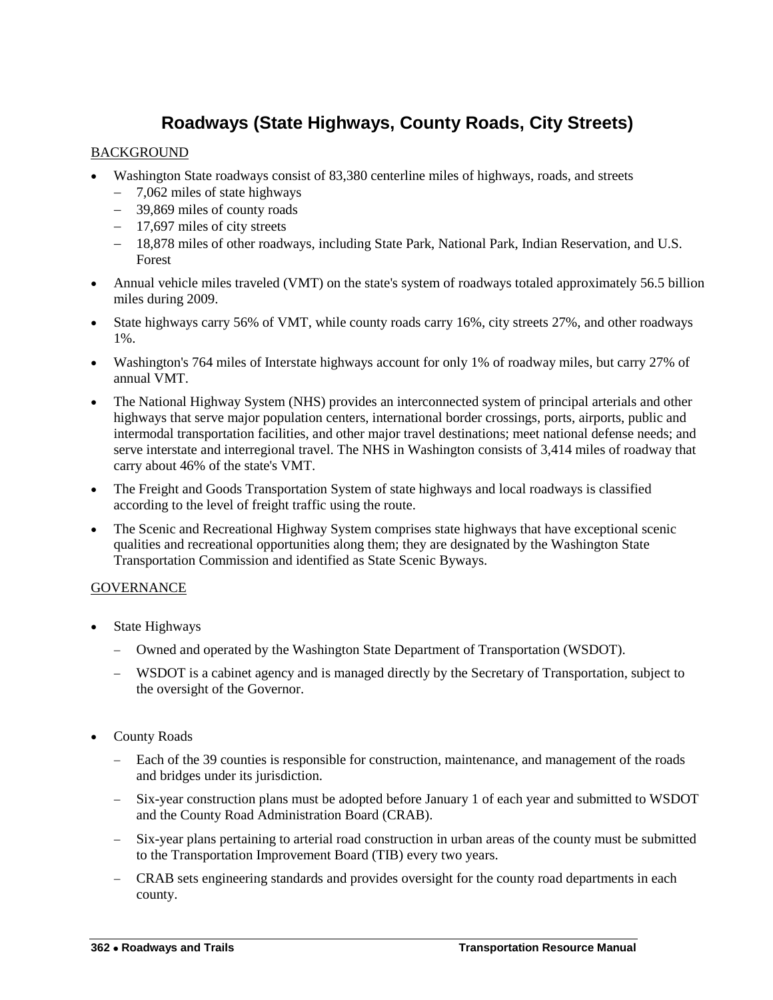# **Roadways (State Highways, County Roads, City Streets)**

### <span id="page-15-0"></span>BACKGROUND

- Washington State roadways consist of 83,380 centerline miles of highways, roads, and streets
	- 7,062 miles of state highways
	- 39,869 miles of county roads
	- 17,697 miles of city streets
	- 18,878 miles of other roadways, including State Park, National Park, Indian Reservation, and U.S. Forest
- Annual vehicle miles traveled (VMT) on the state's system of roadways totaled approximately 56.5 billion miles during 2009.
- State highways carry 56% of VMT, while county roads carry 16%, city streets 27%, and other roadways 1%.
- Washington's 764 miles of Interstate highways account for only 1% of roadway miles, but carry 27% of annual VMT.
- The National Highway System (NHS) provides an interconnected system of principal arterials and other highways that serve major population centers, international border crossings, ports, airports, public and intermodal transportation facilities, and other major travel destinations; meet national defense needs; and serve interstate and interregional travel. The NHS in Washington consists of 3,414 miles of roadway that carry about 46% of the state's VMT.
- The Freight and Goods Transportation System of state highways and local roadways is classified according to the level of freight traffic using the route.
- The Scenic and Recreational Highway System comprises state highways that have exceptional scenic qualities and recreational opportunities along them; they are designated by the Washington State Transportation Commission and identified as State Scenic Byways.

- State Highways
	- Owned and operated by the Washington State Department of Transportation (WSDOT).
	- WSDOT is a cabinet agency and is managed directly by the Secretary of Transportation, subject to the oversight of the Governor.
- County Roads
	- Each of the 39 counties is responsible for construction, maintenance, and management of the roads and bridges under its jurisdiction.
	- Six-year construction plans must be adopted before January 1 of each year and submitted to WSDOT and the County Road Administration Board (CRAB).
	- Six-year plans pertaining to arterial road construction in urban areas of the county must be submitted to the Transportation Improvement Board (TIB) every two years.
	- CRAB sets engineering standards and provides oversight for the county road departments in each county.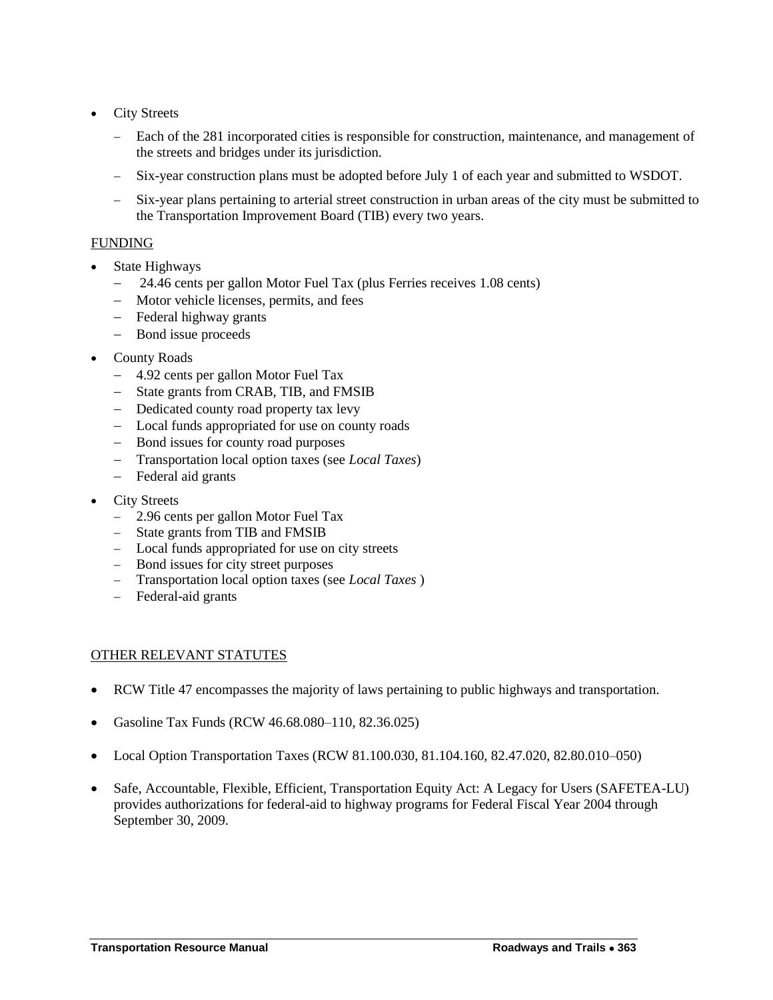- City Streets
	- Each of the 281 incorporated cities is responsible for construction, maintenance, and management of the streets and bridges under its jurisdiction.
	- Six-year construction plans must be adopted before July 1 of each year and submitted to WSDOT.
	- Six-year plans pertaining to arterial street construction in urban areas of the city must be submitted to the Transportation Improvement Board (TIB) every two years.

- State Highways
	- 24.46 cents per gallon Motor Fuel Tax (plus Ferries receives 1.08 cents)
	- Motor vehicle licenses, permits, and fees
	- Federal highway grants
	- Bond issue proceeds
- County Roads
	- 4.92 cents per gallon Motor Fuel Tax
	- State grants from CRAB, TIB, and FMSIB
	- Dedicated county road property tax levy
	- Local funds appropriated for use on county roads
	- Bond issues for county road purposes
	- Transportation local option taxes (see *Local Taxes*)
	- Federal aid grants
- City Streets
	- 2.96 cents per gallon Motor Fuel Tax
	- State grants from TIB and FMSIB
	- Local funds appropriated for use on city streets
	- Bond issues for city street purposes
	- Transportation local option taxes (see *Local Taxes* )
	- Federal-aid grants

#### OTHER RELEVANT STATUTES

- RCW Title 47 encompasses the majority of laws pertaining to public highways and transportation.
- Gasoline Tax Funds (RCW 46.68.080–110, 82.36.025)
- Local Option Transportation Taxes (RCW 81.100.030, 81.104.160, 82.47.020, 82.80.010–050)
- Safe, Accountable, Flexible, Efficient, Transportation Equity Act: A Legacy for Users (SAFETEA-LU) provides authorizations for federal-aid to highway programs for Federal Fiscal Year 2004 through September 30, 2009.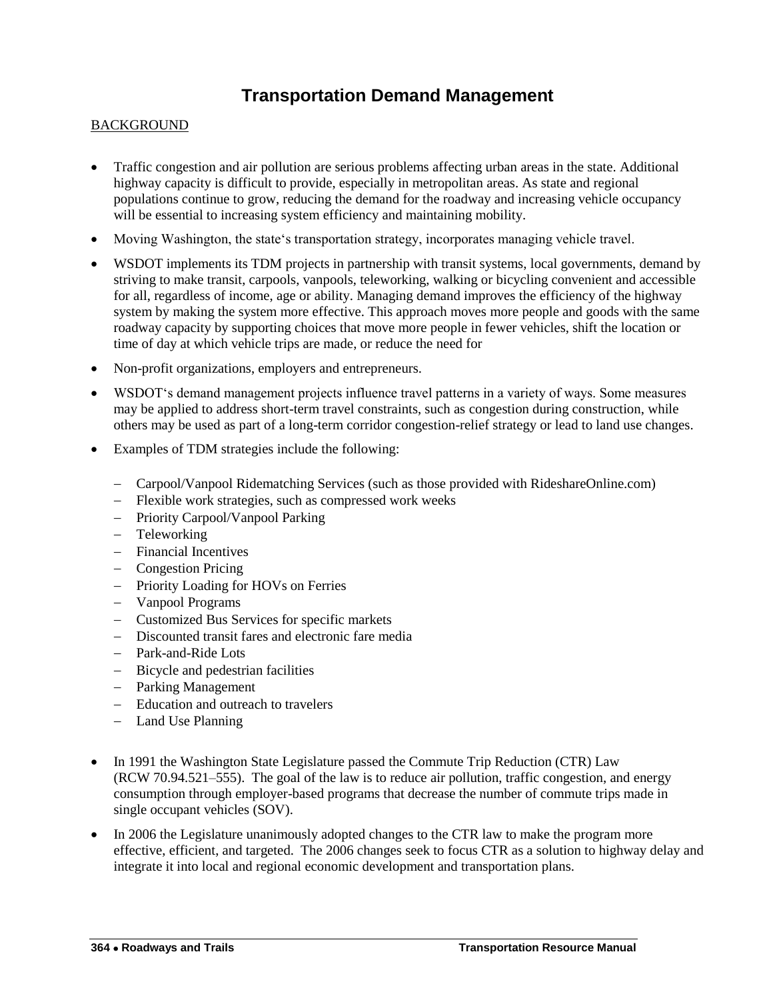### **Transportation Demand Management**

#### <span id="page-17-0"></span>**BACKGROUND**

- Traffic congestion and air pollution are serious problems affecting urban areas in the state. Additional highway capacity is difficult to provide, especially in metropolitan areas. As state and regional populations continue to grow, reducing the demand for the roadway and increasing vehicle occupancy will be essential to increasing system efficiency and maintaining mobility.
- Moving Washington, the state's transportation strategy, incorporates managing vehicle travel.
- WSDOT implements its TDM projects in partnership with transit systems, local governments, demand by striving to make transit, carpools, vanpools, teleworking, walking or bicycling convenient and accessible for all, regardless of income, age or ability. Managing demand improves the efficiency of the highway system by making the system more effective. This approach moves more people and goods with the same roadway capacity by supporting choices that move more people in fewer vehicles, shift the location or time of day at which vehicle trips are made, or reduce the need for
- Non-profit organizations, employers and entrepreneurs.
- WSDOT"s demand management projects influence travel patterns in a variety of ways. Some measures may be applied to address short-term travel constraints, such as congestion during construction, while others may be used as part of a long-term corridor congestion-relief strategy or lead to land use changes.
- Examples of TDM strategies include the following:
	- Carpool/Vanpool Ridematching Services (such as those provided with RideshareOnline.com)
	- Flexible work strategies, such as compressed work weeks
	- Priority Carpool/Vanpool Parking
	- Teleworking
	- Financial Incentives
	- Congestion Pricing
	- Priority Loading for HOVs on Ferries
	- Vanpool Programs
	- Customized Bus Services for specific markets
	- Discounted transit fares and electronic fare media
	- Park-and-Ride Lots
	- Bicycle and pedestrian facilities
	- Parking Management
	- Education and outreach to travelers
	- Land Use Planning
- In 1991 the Washington State Legislature passed the Commute Trip Reduction (CTR) Law (RCW 70.94.521–555). The goal of the law is to reduce air pollution, traffic congestion, and energy consumption through employer-based programs that decrease the number of commute trips made in single occupant vehicles (SOV).
- In 2006 the Legislature unanimously adopted changes to the CTR law to make the program more effective, efficient, and targeted. The 2006 changes seek to focus CTR as a solution to highway delay and integrate it into local and regional economic development and transportation plans.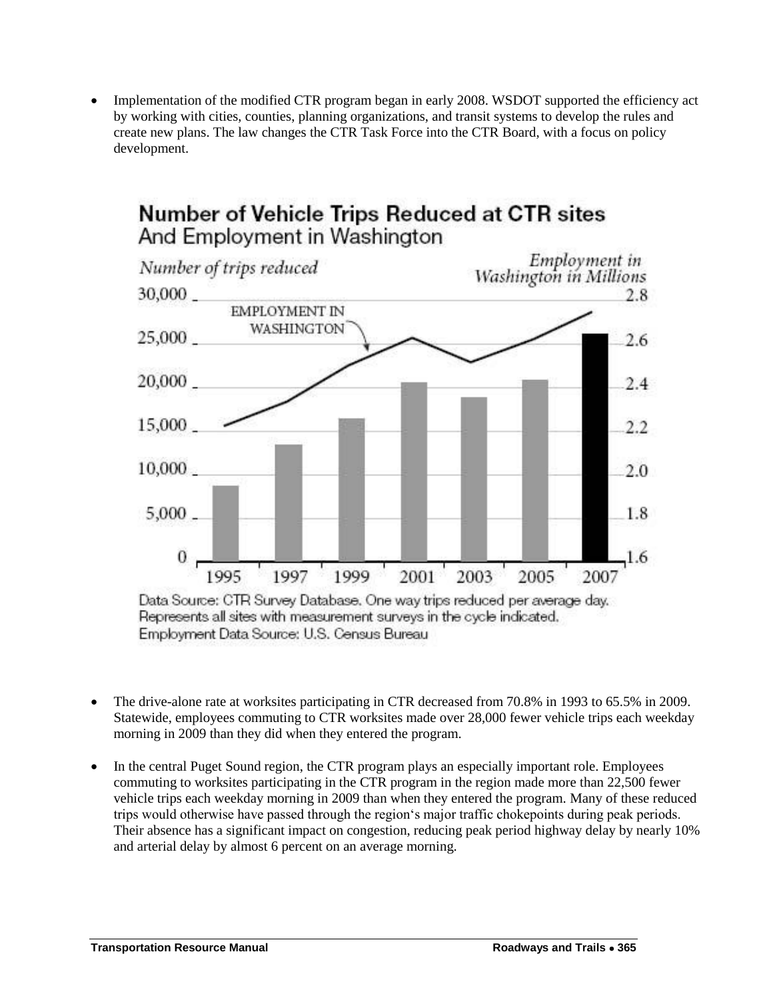Implementation of the modified CTR program began in early 2008. WSDOT supported the efficiency act by working with cities, counties, planning organizations, and transit systems to develop the rules and create new plans. The law changes the CTR Task Force into the CTR Board, with a focus on policy development.



Employment Data Source: U.S. Census Bureau

- The drive-alone rate at worksites participating in CTR decreased from 70.8% in 1993 to 65.5% in 2009. Statewide, employees commuting to CTR worksites made over 28,000 fewer vehicle trips each weekday morning in 2009 than they did when they entered the program.
- In the central Puget Sound region, the CTR program plays an especially important role. Employees commuting to worksites participating in the CTR program in the region made more than 22,500 fewer vehicle trips each weekday morning in 2009 than when they entered the program. Many of these reduced trips would otherwise have passed through the region"s major traffic chokepoints during peak periods. Their absence has a significant impact on congestion, reducing peak period highway delay by nearly 10% and arterial delay by almost 6 percent on an average morning.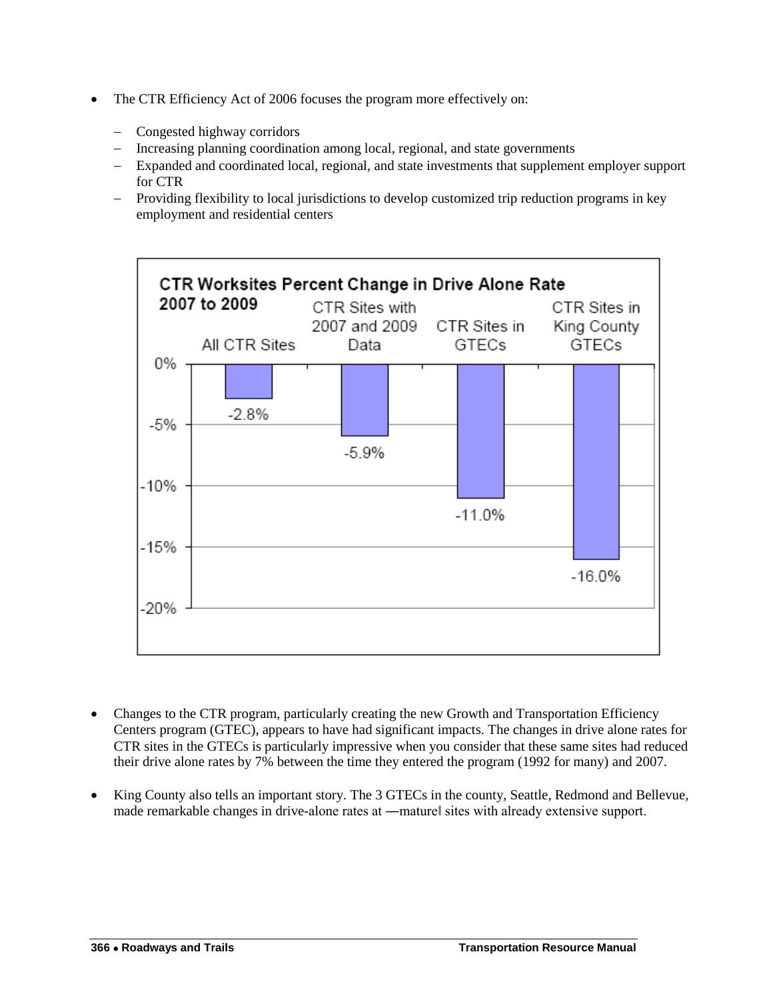- The CTR Efficiency Act of 2006 focuses the program more effectively on:
	- Congested highway corridors
	- Increasing planning coordination among local, regional, and state governments
	- Expanded and coordinated local, regional, and state investments that supplement employer support for CTR
	- Providing flexibility to local jurisdictions to develop customized trip reduction programs in key employment and residential centers



- Changes to the CTR program, particularly creating the new Growth and Transportation Efficiency Centers program (GTEC), appears to have had significant impacts. The changes in drive alone rates for CTR sites in the GTECs is particularly impressive when you consider that these same sites had reduced their drive alone rates by 7% between the time they entered the program (1992 for many) and 2007.
- King County also tells an important story. The 3 GTECs in the county, Seattle, Redmond and Bellevue, made remarkable changes in drive-alone rates at —maturel sites with already extensive support.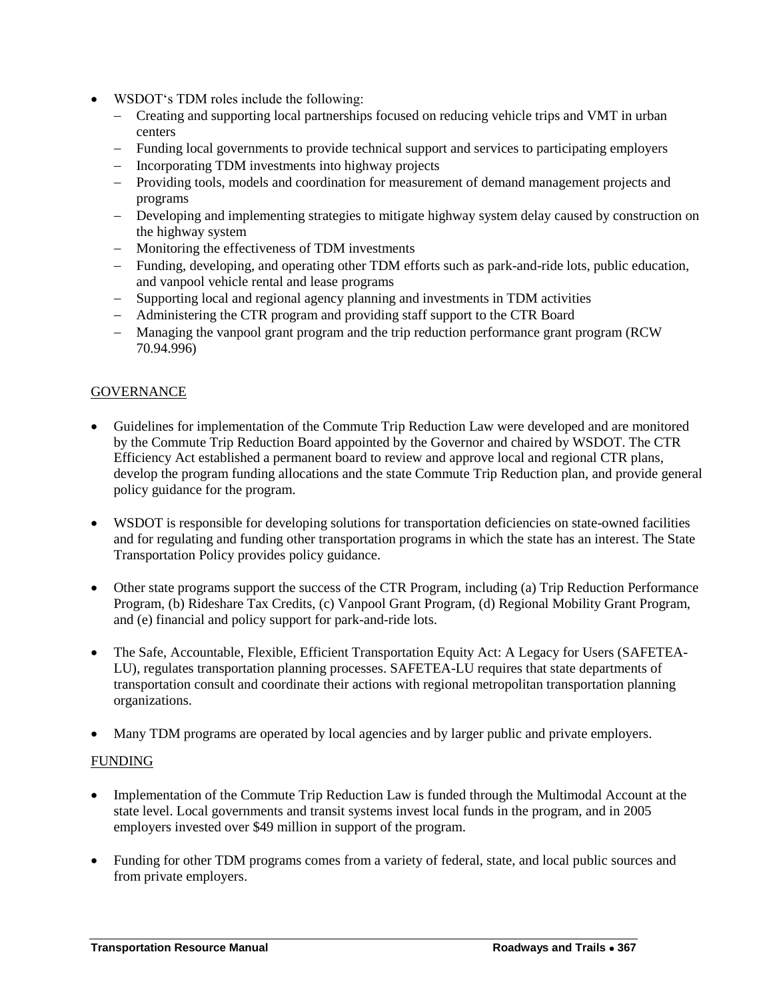- WSDOT"s TDM roles include the following:
	- Creating and supporting local partnerships focused on reducing vehicle trips and VMT in urban centers
	- Funding local governments to provide technical support and services to participating employers
	- Incorporating TDM investments into highway projects
	- Providing tools, models and coordination for measurement of demand management projects and programs
	- Developing and implementing strategies to mitigate highway system delay caused by construction on the highway system
	- Monitoring the effectiveness of TDM investments
	- Funding, developing, and operating other TDM efforts such as park-and-ride lots, public education, and vanpool vehicle rental and lease programs
	- Supporting local and regional agency planning and investments in TDM activities
	- Administering the CTR program and providing staff support to the CTR Board
	- Managing the vanpool grant program and the trip reduction performance grant program (RCW 70.94.996)

#### **GOVERNANCE**

- Guidelines for implementation of the Commute Trip Reduction Law were developed and are monitored by the Commute Trip Reduction Board appointed by the Governor and chaired by WSDOT. The CTR Efficiency Act established a permanent board to review and approve local and regional CTR plans, develop the program funding allocations and the state Commute Trip Reduction plan, and provide general policy guidance for the program.
- WSDOT is responsible for developing solutions for transportation deficiencies on state-owned facilities and for regulating and funding other transportation programs in which the state has an interest. The State Transportation Policy provides policy guidance.
- Other state programs support the success of the CTR Program, including (a) Trip Reduction Performance Program, (b) Rideshare Tax Credits, (c) Vanpool Grant Program, (d) Regional Mobility Grant Program, and (e) financial and policy support for park-and-ride lots.
- The Safe, Accountable, Flexible, Efficient Transportation Equity Act: A Legacy for Users (SAFETEA-LU), regulates transportation planning processes. SAFETEA-LU requires that state departments of transportation consult and coordinate their actions with regional metropolitan transportation planning organizations.
- Many TDM programs are operated by local agencies and by larger public and private employers.

#### FUNDING

- Implementation of the Commute Trip Reduction Law is funded through the Multimodal Account at the state level. Local governments and transit systems invest local funds in the program, and in 2005 employers invested over \$49 million in support of the program.
- Funding for other TDM programs comes from a variety of federal, state, and local public sources and from private employers.